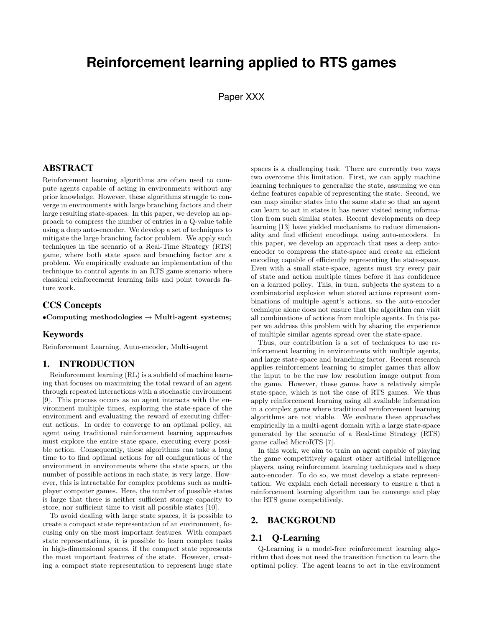# **Reinforcement learning applied to RTS games**

Paper XXX

# ABSTRACT

Reinforcement learning algorithms are often used to compute agents capable of acting in environments without any prior knowledge. However, these algorithms struggle to converge in environments with large branching factors and their large resulting state-spaces. In this paper, we develop an approach to compress the number of entries in a Q-value table using a deep auto-encoder. We develop a set of techniques to mitigate the large branching factor problem. We apply such techniques in the scenario of a Real-Time Strategy (RTS) game, where both state space and branching factor are a problem. We empirically evaluate an implementation of the technique to control agents in an RTS game scenario where classical reinforcement learning fails and point towards future work.

# CCS Concepts

•Computing methodologies  $\rightarrow$  Multi-agent systems;

## Keywords

Reinforcement Learning, Auto-encoder, Multi-agent

# 1. INTRODUCTION

Reinforcement learning (RL) is a subfield of machine learning that focuses on maximizing the total reward of an agent through repeated interactions with a stochastic environment [9]. This process occurs as an agent interacts with the environment multiple times, exploring the state-space of the environment and evaluating the reward of executing different actions. In order to converge to an optimal policy, an agent using traditional reinforcement learning approaches must explore the entire state space, executing every possible action. Consequently, these algorithms can take a long time to to find optimal actions for all configurations of the environment in environments where the state space, or the number of possible actions in each state, is very large. However, this is intractable for complex problems such as multiplayer computer games. Here, the number of possible states is large that there is neither sufficient storage capacity to store, nor sufficient time to visit all possible states [10].

To avoid dealing with large state spaces, it is possible to create a compact state representation of an environment, focusing only on the most important features. With compact state representations, it is possible to learn complex tasks in high-dimensional spaces, if the compact state represents the most important features of the state. However, creating a compact state representation to represent huge state

spaces is a challenging task. There are currently two ways two overcome this limitation. First, we can apply machine learning techniques to generalize the state, assuming we can define features capable of representing the state. Second, we can map similar states into the same state so that an agent can learn to act in states it has never visited using information from such similar states. Recent developments on deep learning [13] have yielded mechanisms to reduce dimensionality and find efficient encodings, using auto-encoders. In this paper, we develop an approach that uses a deep autoencoder to compress the state-space and create an efficient encoding capable of efficiently representing the state-space. Even with a small state-space, agents must try every pair of state and action multiple times before it has confidence on a learned policy. This, in turn, subjects the system to a combinatorial explosion when stored actions represent combinations of multiple agent's actions, so the auto-encoder technique alone does not ensure that the algorithm can visit all combinations of actions from multiple agents. In this paper we address this problem with by sharing the experience of multiple similar agents spread over the state-space.

Thus, our contribution is a set of techniques to use reinforcement learning in environments with multiple agents, and large state-space and branching factor. Recent research applies reinforcement learning to simpler games that allow the input to be the raw low resolution image output from the game. However, these games have a relatively simple state-space, which is not the case of RTS games. We thus apply reinforcement learning using all available information in a complex game where traditional reinforcement learning algorithms are not viable. We evaluate these approaches empirically in a multi-agent domain with a large state-space generated by the scenario of a Real-time Strategy (RTS) game called MicroRTS [7].

In this work, we aim to train an agent capable of playing the game competitively against other artificial intelligence players, using reinforcement learning techniques and a deep auto-encoder. To do so, we must develop a state representation. We explain each detail necessary to ensure a that a reinforcement learning algorithm can be converge and play the RTS game competitively.

## 2. BACKGROUND

## 2.1 Q-Learning

Q-Learning is a model-free reinforcement learning algorithm that does not need the transition function to learn the optimal policy. The agent learns to act in the environment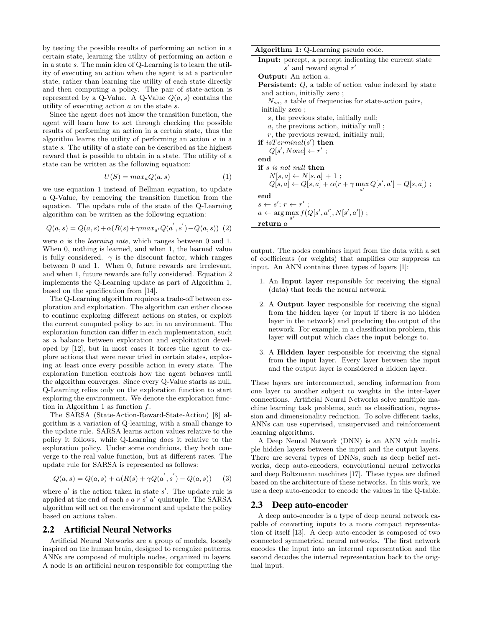by testing the possible results of performing an action in a certain state, learning the utility of performing an action a in a state s. The main idea of Q-Learning is to learn the utility of executing an action when the agent is at a particular state, rather than learning the utility of each state directly and then computing a policy. The pair of state-action is represented by a Q-Value. A Q-Value  $Q(a, s)$  contains the utility of executing action a on the state s.

Since the agent does not know the transition function, the agent will learn how to act through checking the possible results of performing an action in a certain state, thus the algorithm learns the utility of performing an action a in a state s. The utility of a state can be described as the highest reward that is possible to obtain in a state. The utility of a state can be written as the following equation:

$$
U(S) = \max_{a} Q(a, s) \tag{1}
$$

we use equation 1 instead of Bellman equation, to update a Q-Value, by removing the transition function from the equation. The update rule of the state of the Q-Learning algorithm can be written as the following equation:

$$
Q(a,s) = Q(a,s) + \alpha(R(s) + \gamma max_{a'}Q(a',s') - Q(a,s)) \tag{2}
$$

were  $\alpha$  is the *learning rate*, which ranges between 0 and 1. When 0, nothing is learned, and when 1, the learned value is fully considered.  $\gamma$  is the discount factor, which ranges between 0 and 1. When 0, future rewards are irrelevant, and when 1, future rewards are fully considered. Equation 2 implements the Q-Learning update as part of Algorithm 1, based on the specification from [14].

The Q-Learning algorithm requires a trade-off between exploration and exploitation. The algorithm can either choose to continue exploring different actions on states, or exploit the current computed policy to act in an environment. The exploration function can differ in each implementation, such as a balance between exploration and exploitation developed by [12], but in most cases it forces the agent to explore actions that were never tried in certain states, exploring at least once every possible action in every state. The exploration function controls how the agent behaves until the algorithm converges. Since every Q-Value starts as null, Q-Learning relies only on the exploration function to start exploring the environment. We denote the exploration function in Algorithm 1 as function f.

The SARSA (State-Action-Reward-State-Action) [8] algorithm is a variation of Q-learning, with a small change to the update rule. SARSA learns action values relative to the policy it follows, while Q-Learning does it relative to the exploration policy. Under some conditions, they both converge to the real value function, but at different rates. The update rule for SARSA is represented as follows:

$$
Q(a,s) = Q(a,s) + \alpha(R(s) + \gamma Q(a^{'}, s^{'}) - Q(a,s))
$$
 (3)

where  $a'$  is the action taken in state  $s'$ . The update rule is applied at the end of each  $s$  a  $r$   $s'$   $a'$  quintuple. The SARSA algorithm will act on the environment and update the policy based on actions taken.

#### 2.2 Artificial Neural Networks

Artificial Neural Networks are a group of models, loosely inspired on the human brain, designed to recognize patterns. ANNs are composed of multiple nodes, organized in layers. A node is an artificial neuron responsible for computing the

#### Algorithm 1: Q-Learning pseudo code.

| <b>Input:</b> percept, a percept indicating the current state                      |
|------------------------------------------------------------------------------------|
| $s'$ and reward signal $r'$                                                        |
| <b>Output:</b> An action $a$ .                                                     |
| <b>Persistent</b> : $Q$ , a table of action value indexed by state                 |
| and action, initially zero;                                                        |
| $N_{sa}$ , a table of frequencies for state-action pairs,                          |
| initially zero;                                                                    |
| s, the previous state, initially null;                                             |
| a, the previous action, initially null;                                            |
| $r$ , the previous reward, initially null;                                         |
| if is Terminal(s') then                                                            |
| $Q[s', None] \leftarrow r'$ ;                                                      |
| end                                                                                |
| if $s$ is not null then                                                            |
| $N[s,a] \leftarrow N[s,a] + 1$ ;                                                   |
| $Q[s, a] \leftarrow Q[s, a] + \alpha (r + \gamma \max_{a'} Q[s', a'] - Q[s, a])$ ; |
| $_{\mathrm{end}}$                                                                  |
| $s \leftarrow s'; r \leftarrow r';$                                                |
| $a \leftarrow \arg \max f(Q[s', a'], N[s', a'])$ ;                                 |
| return a                                                                           |

output. The nodes combines input from the data with a set of coefficients (or weights) that amplifies our suppress an input. An ANN contains three types of layers [1]:

- 1. An Input layer responsible for receiving the signal (data) that feeds the neural network.
- 2. A Output layer responsible for receiving the signal from the hidden layer (or input if there is no hidden layer in the network) and producing the output of the network. For example, in a classification problem, this layer will output which class the input belongs to.
- 3. A Hidden layer responsible for receiving the signal from the input layer. Every layer between the input and the output layer is considered a hidden layer.

These layers are interconnected, sending information from one layer to another subject to weights in the inter-layer connections. Artificial Neural Networks solve multiple machine learning task problems, such as classification, regression and dimensionality reduction. To solve different tasks, ANNs can use supervised, unsupervised and reinforcement learning algorithms.

A Deep Neural Network (DNN) is an ANN with multiple hidden layers between the input and the output layers. There are several types of DNNs, such as deep belief networks, deep auto-encoders, convolutional neural networks and deep Boltzmann machines [17]. These types are defined based on the architecture of these networks. In this work, we use a deep auto-encoder to encode the values in the Q-table.

#### 2.3 Deep auto-encoder

A deep auto-encoder is a type of deep neural network capable of converting inputs to a more compact representation of itself [13]. A deep auto-encoder is composed of two connected symmetrical neural networks. The first network encodes the input into an internal representation and the second decodes the internal representation back to the original input.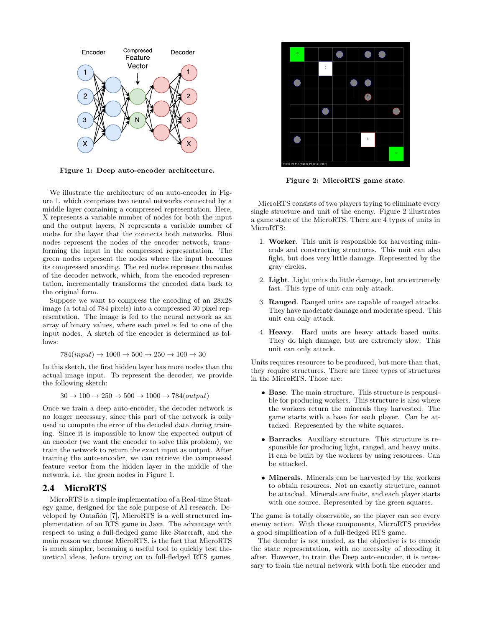

Figure 1: Deep auto-encoder architecture.

We illustrate the architecture of an auto-encoder in Figure 1, which comprises two neural networks connected by a middle layer containing a compressed representation. Here, X represents a variable number of nodes for both the input and the output layers, N represents a variable number of nodes for the layer that the connects both networks. Blue nodes represent the nodes of the encoder network, transforming the input in the compressed representation. The green nodes represent the nodes where the input becomes its compressed encoding. The red nodes represent the nodes of the decoder network, which, from the encoded representation, incrementally transforms the encoded data back to the original form.

Suppose we want to compress the encoding of an 28x28 image (a total of 784 pixels) into a compressed 30 pixel representation. The image is fed to the neural network as an array of binary values, where each pixel is fed to one of the input nodes. A sketch of the encoder is determined as follows:

$$
784(input) \rightarrow 1000 \rightarrow 500 \rightarrow 250 \rightarrow 100 \rightarrow 30
$$

In this sketch, the first hidden layer has more nodes than the actual image input. To represent the decoder, we provide the following sketch:

$$
30 \to 100 \to 250 \to 500 \to 1000 \to 784(output)
$$

Once we train a deep auto-encoder, the decoder network is no longer necessary, since this part of the network is only used to compute the error of the decoded data during training. Since it is impossible to know the expected output of an encoder (we want the encoder to solve this problem), we train the network to return the exact input as output. After training the auto-encoder, we can retrieve the compressed feature vector from the hidden layer in the middle of the network, i.e. the green nodes in Figure 1.

#### 2.4 MicroRTS

MicroRTS is a simple implementation of a Real-time Strategy game, designed for the sole purpose of AI research. Developed by Ontañón [7], MicroRTS is a well structured implementation of an RTS game in Java. The advantage with respect to using a full-fledged game like Starcraft, and the main reason we choose MicroRTS, is the fact that MicroRTS is much simpler, becoming a useful tool to quickly test theoretical ideas, before trying on to full-fledged RTS games.



Figure 2: MicroRTS game state.

MicroRTS consists of two players trying to eliminate every single structure and unit of the enemy. Figure 2 illustrates a game state of the MicroRTS. There are 4 types of units in MicroRTS:

- 1. Worker. This unit is responsible for harvesting minerals and constructing structures. This unit can also fight, but does very little damage. Represented by the gray circles.
- 2. Light. Light units do little damage, but are extremely fast. This type of unit can only attack.
- 3. Ranged. Ranged units are capable of ranged attacks. They have moderate damage and moderate speed. This unit can only attack.
- 4. Heavy. Hard units are heavy attack based units. They do high damage, but are extremely slow. This unit can only attack.

Units requires resources to be produced, but more than that, they require structures. There are three types of structures in the MicroRTS. Those are:

- Base. The main structure. This structure is responsible for producing workers. This structure is also where the workers return the minerals they harvested. The game starts with a base for each player. Can be attacked. Represented by the white squares.
- Barracks. Auxiliary structure. This structure is responsible for producing light, ranged, and heavy units. It can be built by the workers by using resources. Can be attacked.
- Minerals. Minerals can be harvested by the workers to obtain resources. Not an exactly structure, cannot be attacked. Minerals are finite, and each player starts with one source. Represented by the green squares.

The game is totally observable, so the player can see every enemy action. With those components, MicroRTS provides a good simplification of a full-fledged RTS game.

The decoder is not needed, as the objective is to encode the state representation, with no necessity of decoding it after. However, to train the Deep auto-encoder, it is necessary to train the neural network with both the encoder and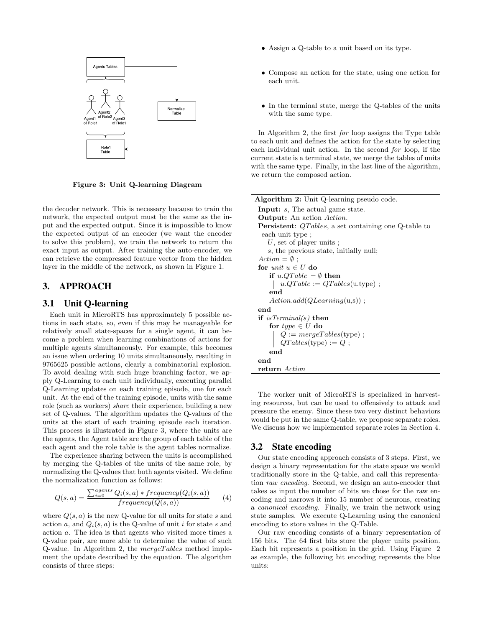

Figure 3: Unit Q-learning Diagram

the decoder network. This is necessary because to train the network, the expected output must be the same as the input and the expected output. Since it is impossible to know the expected output of an encoder (we want the encoder to solve this problem), we train the network to return the exact input as output. After training the auto-encoder, we can retrieve the compressed feature vector from the hidden layer in the middle of the network, as shown in Figure 1.

# 3. APPROACH

# 3.1 Unit Q-learning

Each unit in MicroRTS has approximately 5 possible actions in each state, so, even if this may be manageable for relatively small state-spaces for a single agent, it can become a problem when learning combinations of actions for multiple agents simultaneously. For example, this becomes an issue when ordering 10 units simultaneously, resulting in 9765625 possible actions, clearly a combinatorial explosion. To avoid dealing with such huge branching factor, we apply Q-Learning to each unit individually, executing parallel Q-Learning updates on each training episode, one for each unit. At the end of the training episode, units with the same role (such as workers) share their experience, building a new set of Q-values. The algorithm updates the Q-values of the units at the start of each training episode each iteration. This process is illustrated in Figure 3, where the units are the agents, the Agent table are the group of each table of the each agent and the role table is the agent tables normalize.

The experience sharing between the units is accomplished by merging the Q-tables of the units of the same role, by normalizing the Q-values that both agents visited. We define the normalization function as follows:

$$
Q(s,a) = \frac{\sum_{i=0}^{agents} Q_i(s,a) * frequency(Q_i(s,a))}{frequency(Q(s,a))}
$$
(4)

where  $Q(s, a)$  is the new Q-value for all units for state s and action a, and  $Q_i(s, a)$  is the Q-value of unit i for state s and action a. The idea is that agents who visited more times a Q-value pair, are more able to determine the value of such Q-value. In Algorithm 2, the  $mergeTables$  method implement the update described by the equation. The algorithm consists of three steps:

- Assign a Q-table to a unit based on its type.
- Compose an action for the state, using one action for each unit.
- In the terminal state, merge the Q-tables of the units with the same type.

In Algorithm 2, the first for loop assigns the Type table to each unit and defines the action for the state by selecting each individual unit action. In the second for loop, if the current state is a terminal state, we merge the tables of units with the same type. Finally, in the last line of the algorithm, we return the composed action.

| Algorithm 2: Unit Q-learning pseudo code.                       |
|-----------------------------------------------------------------|
| <b>Input:</b> $s$ , The actual game state.                      |
| <b>Output:</b> An action <i>Action</i> .                        |
| <b>Persistent</b> : $QTables$ , a set containing one Q-table to |
| each unit type;                                                 |
| U, set of player units;                                         |
| s, the previous state, initially null;                          |
| $Action = \emptyset$ :                                          |
| for unit $u \in U$ do                                           |
| if $u.QTable = \emptyset$ then                                  |
| $u.QTable := QTables(u.type)$ ;                                 |
| end                                                             |
| $Action.add(QLearning(u,s))$ ;                                  |
| end                                                             |
| if is Terminal(s) then                                          |
| for $type \in U$ do                                             |
| $Q := mergeTables({\rm type})$ ;                                |
| $QTables$ (type) := $Q$ ;                                       |
| end                                                             |
| end                                                             |
| return Action                                                   |
|                                                                 |

The worker unit of MicroRTS is specialized in harvesting resources, but can be used to offensively to attack and pressure the enemy. Since these two very distinct behaviors would be put in the same Q-table, we propose separate roles. We discuss how we implemented separate roles in Section 4.

#### 3.2 State encoding

Our state encoding approach consists of 3 steps. First, we design a binary representation for the state space we would traditionally store in the Q-table, and call this representation raw encoding. Second, we design an auto-encoder that takes as input the number of bits we chose for the raw encoding and narrows it into 15 number of neurons, creating a canonical encoding. Finally, we train the network using state samples. We execute Q-Learning using the canonical encoding to store values in the Q-Table.

Our raw encoding consists of a binary representation of 156 bits. The 64 first bits store the player units position. Each bit represents a position in the grid. Using Figure 2 as example, the following bit encoding represents the blue units: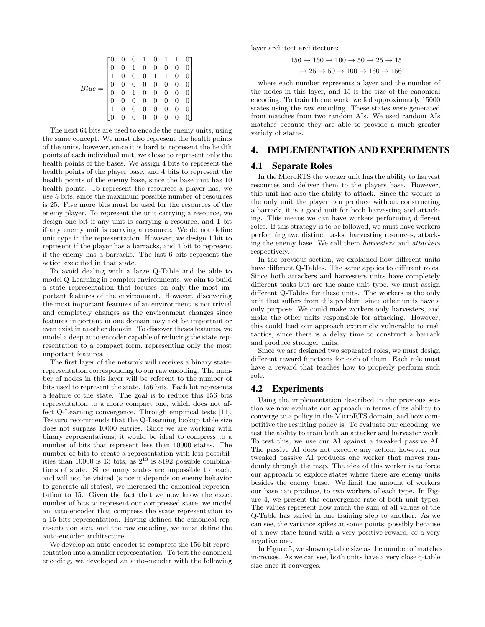| $Blue =$ |  |  |  | $\begin{bmatrix} 0 & 0 & 0 & 1 & 0 & 1 & 1 & 0 \\ 0 & 0 & 1 & 0 & 0 & 0 & 0 & 0 \\ 1 & 0 & 0 & 0 & 1 & 1 & 0 & 0 \\ 0 & 0 & 0 & 0 & 0 & 0 & 0 & 0 \\ 0 & 0 & 1 & 0 & 0 & 0 & 0 & 0 \\ 0 & 0 & 0 & 0 & 0 & 0 & 0 & 0 \\ 1 & 0 & 0 & 0 & 0 & 0 & 0 & 0 \\ 0 & 0 & 0 & 0 & 0 & 0 & 0 & 0 \end{bmatrix}$ |
|----------|--|--|--|------------------------------------------------------------------------------------------------------------------------------------------------------------------------------------------------------------------------------------------------------------------------------------------------------|
|          |  |  |  |                                                                                                                                                                                                                                                                                                      |
|          |  |  |  |                                                                                                                                                                                                                                                                                                      |
|          |  |  |  |                                                                                                                                                                                                                                                                                                      |
|          |  |  |  |                                                                                                                                                                                                                                                                                                      |
|          |  |  |  |                                                                                                                                                                                                                                                                                                      |
|          |  |  |  |                                                                                                                                                                                                                                                                                                      |
|          |  |  |  |                                                                                                                                                                                                                                                                                                      |

The next 64 bits are used to encode the enemy units, using the same concept. We must also represent the health points of the units, however, since it is hard to represent the health points of each individual unit, we chose to represent only the health points of the bases. We assign 4 bits to represent the health points of the player base, and 4 bits to represent the health points of the enemy base, since the base unit has 10 health points. To represent the resources a player has, we use 5 bits, since the maximum possible number of resources is 25. Five more bits must be used for the resources of the enemy player. To represent the unit carrying a resource, we design one bit if any unit is carrying a resource, and 1 bit if any enemy unit is carrying a resource. We do not define unit type in the representation. However, we design 1 bit to represent if the player has a barracks, and 1 bit to represent if the enemy has a barracks. The last 6 bits represent the action executed in that state.

To avoid dealing with a large Q-Table and be able to model Q-Learning in complex environments, we aim to build a state representation that focuses on only the most important features of the environment. However, discovering the most important features of an environment is not trivial and completely changes as the environment changes since features important in one domain may not be important or even exist in another domain. To discover theses features, we model a deep auto-encoder capable of reducing the state representation to a compact form, representing only the most important features.

The first layer of the network will receives a binary staterepresentation corresponding to our raw encoding. The number of nodes in this layer will be referent to the number of bits used to represent the state, 156 bits. Each bit represents a feature of the state. The goal is to reduce this 156 bits representation to a more compact one, which does not affect Q-Learning convergence. Through empirical tests [11], Tesauro recommends that the Q-Learning lookup table size does not surpass 10000 entries. Since we are working with binary representations, it would be ideal to compress to a number of bits that represent less than 10000 states. The number of bits to create a representation with less possibilities than 10000 is 13 bits, as  $2^{13}$  is 8192 possible combinations of state. Since many states are impossible to reach, and will not be visited (since it depends on enemy behavior to generate all states), we increased the canonical representation to 15. Given the fact that we now know the exact number of bits to represent our compressed state, we model an auto-encoder that compress the state representation to a 15 bits representation. Having defined the canonical representation size, and the raw encoding, we must define the auto-encoder architecture.

We develop an auto-encoder to compress the 156 bit representation into a smaller representation. To test the canonical encoding, we developed an auto-encoder with the following layer architecture:

$$
156 \rightarrow 160 \rightarrow 100 \rightarrow 50 \rightarrow 25 \rightarrow 15
$$

$$
\rightarrow 25 \rightarrow 50 \rightarrow 100 \rightarrow 160 \rightarrow 156
$$

where each number represents a layer and the number of the nodes in this layer, and 15 is the size of the canonical encoding. To train the network, we fed approximately 15000 states using the raw encoding. These states were generated from matches from two random AIs. We used random AIs matches because they are able to provide a much greater variety of states.

# 4. IMPLEMENTATION AND EXPERIMENTS

#### 4.1 Separate Roles

In the MicroRTS the worker unit has the ability to harvest resources and deliver them to the players base. However, this unit has also the ability to attack. Since the worker is the only unit the player can produce without constructing a barrack, it is a good unit for both harvesting and attacking. This means we can have workers performing different roles. If this strategy is to be followed, we must have workers performing two distinct tasks: harvesting resources, attacking the enemy base. We call them harvesters and attackers respectively.

In the previous section, we explained how different units have different Q-Tables. The same applies to different roles. Since both attackers and harvesters units have completely different tasks but are the same unit type, we must assign different Q-Tables for these units. The workers is the only unit that suffers from this problem, since other units have a only purpose. We could make workers only harvesters, and make the other units responsible for attacking. However, this could lead our approach extremely vulnerable to rush tactics, since there is a delay time to construct a barrack and produce stronger units.

Since we are designed two separated roles, we must design different reward functions for each of them. Each role must have a reward that teaches how to properly perform such role.

#### 4.2 Experiments

Using the implementation described in the previous section we now evaluate our approach in terms of its ability to converge to a policy in the MicroRTS domain, and how competitive the resulting policy is. To evaluate our encoding, we test the ability to train both an attacker and harvester work. To test this, we use our AI against a tweaked passive AI. The passive AI does not execute any action, however, our tweaked passive AI produces one worker that moves randomly through the map. The idea of this worker is to force our approach to explore states where there are enemy units besides the enemy base. We limit the amount of workers our base can produce, to two workers of each type. In Figure 4, we present the convergence rate of both unit types. The values represent how much the sum of all values of the Q-Table has varied in one training step to another. As we can see, the variance spikes at some points, possibly because of a new state found with a very positive reward, or a very negative one.

In Figure 5, we shown q-table size as the number of matches increases. As we can see, both units have a very close q-table size once it converges.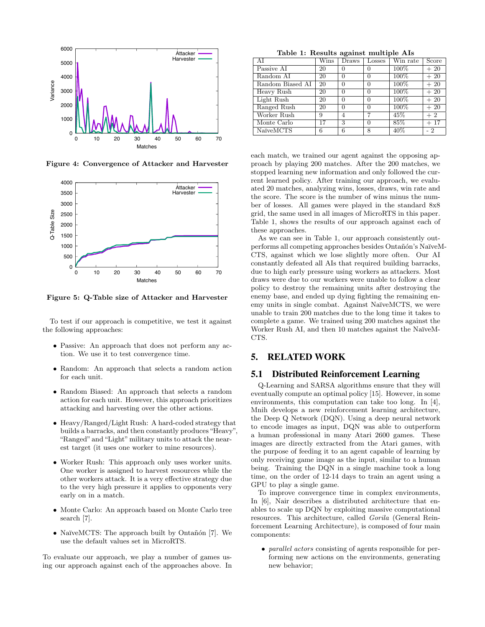

Figure 4: Convergence of Attacker and Harvester



Figure 5: Q-Table size of Attacker and Harvester

To test if our approach is competitive, we test it against the following approaches:

- Passive: An approach that does not perform any action. We use it to test convergence time.
- Random: An approach that selects a random action for each unit.
- Random Biased: An approach that selects a random action for each unit. However, this approach prioritizes attacking and harvesting over the other actions.
- $\bullet$  Heavy/Ranged/Light Rush: A hard-coded strategy that builds a barracks, and then constantly produces "Heavy", "Ranged" and "Light" military units to attack the nearest target (it uses one worker to mine resources).
- Worker Rush: This approach only uses worker units. One worker is assigned to harvest resources while the other workers attack. It is a very effective strategy due to the very high pressure it applies to opponents very early on in a match.
- Monte Carlo: An approach based on Monte Carlo tree search  $[7]$ .
- NaïveMCTS: The approach built by Ontañón [7]. We use the default values set in MicroRTS.

To evaluate our approach, we play a number of games using our approach against each of the approaches above. In

Table 1: Results against multiple AIs

| AI               | Wins | Draws    | Losses   | Win rate | Score |
|------------------|------|----------|----------|----------|-------|
| Passive AI       | 20   |          |          | 100%     | $+20$ |
| Random AI        | 20   | 0        | 0        | 100%     | $+20$ |
| Random Biased AI | 20   | 0        | $\theta$ | 100%     | $+20$ |
| Heavy Rush       | 20   | 0        | $\theta$ | 100%     | $+20$ |
| Light Rush       | 20   | $\Omega$ | $\theta$ | 100%     | $+20$ |
| Ranged Rush      | 20   | 0        | $\theta$ | 100%     | $+20$ |
| Worker Rush      | 9    | 4        | 7        | 45%      | $+2$  |
| Monte Carlo      | 17   | 3        | $\theta$ | 85%      | $+17$ |
| NaïveMCTS        | 6    | 6        | 8        | 40%      | $-2$  |

each match, we trained our agent against the opposing approach by playing 200 matches. After the 200 matches, we stopped learning new information and only followed the current learned policy. After training our approach, we evaluated 20 matches, analyzing wins, losses, draws, win rate and the score. The score is the number of wins minus the number of losses. All games were played in the standard 8x8 grid, the same used in all images of MicroRTS in this paper. Table 1, shows the results of our approach against each of these approaches.

As we can see in Table 1, our approach consistently outperforms all competing approaches besides Ontañón's NaïveM-CTS, against which we lose slightly more often. Our AI constantly defeated all AIs that required building barracks, due to high early pressure using workers as attackers. Most draws were due to our workers were unable to follow a clear policy to destroy the remaining units after destroying the enemy base, and ended up dying fighting the remaining enemy units in single combat. Against NaïveMCTS, we were unable to train 200 matches due to the long time it takes to complete a game. We trained using 200 matches against the Worker Rush AI, and then 10 matches against the NaïveM-CTS.

#### **RELATED WORK** 5.

#### **Distributed Reinforcement Learning** 5.1

Q-Learning and SARSA algorithms ensure that they will eventually compute an optimal policy [15]. However, in some environments, this computation can take too long. In  $[4]$ , Mnih develops a new reinforcement learning architecture, the Deep Q Network (DQN). Using a deep neural network to encode images as input, DQN was able to outperform a human professional in many Atari 2600 games. These images are directly extracted from the Atari games, with the purpose of feeding it to an agent capable of learning by only receiving game image as the input, similar to a human being. Training the DQN in a single machine took a long time, on the order of 12-14 days to train an agent using a GPU to play a single game.

To improve convergence time in complex environments, In [6], Nair describes a distributed architecture that enables to scale up DQN by exploiting massive computational resources. This architecture, called Gorila (General Reinforcement Learning Architecture), is composed of four main components:

• *parallel actors* consisting of agents responsible for performing new actions on the environments, generating new behavior;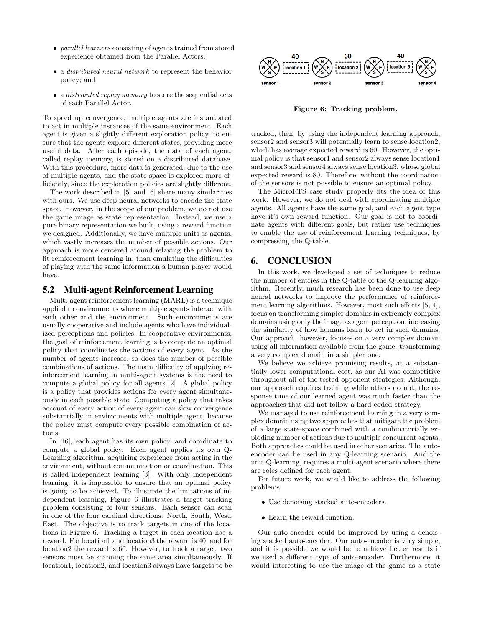- *parallel learners* consisting of agents trained from stored experience obtained from the Parallel Actors;
- a distributed neural network to represent the behavior policy; and
- a *distributed replay memory* to store the sequential acts of each Parallel Actor.

To speed up convergence, multiple agents are instantiated to act in multiple instances of the same environment. Each agent is given a slightly different exploration policy, to ensure that the agents explore different states, providing more useful data. After each episode, the data of each agent, called replay memory, is stored on a distributed database. With this procedure, more data is generated, due to the use of multiple agents, and the state space is explored more efficiently, since the exploration policies are slightly different.

The work described in [5] and [6] share many similarities with ours. We use deep neural networks to encode the state space. However, in the scope of our problem, we do not use the game image as state representation. Instead, we use a pure binary representation we built, using a reward function we designed. Additionally, we have multiple units as agents, which vastly increases the number of possible actions. Our approach is more centered around relaxing the problem to fit reinforcement learning in, than emulating the difficulties of playing with the same information a human player would have.

#### 5.2 Multi-agent Reinforcement Learning

Multi-agent reinforcement learning (MARL) is a technique applied to environments where multiple agents interact with each other and the environment. Such environments are usually cooperative and include agents who have individualized perceptions and policies. In cooperative environments, the goal of reinforcement learning is to compute an optimal policy that coordinates the actions of every agent. As the number of agents increase, so does the number of possible combinations of actions. The main difficulty of applying reinforcement learning in multi-agent systems is the need to compute a global policy for all agents [2]. A global policy is a policy that provides actions for every agent simultaneously in each possible state. Computing a policy that takes account of every action of every agent can slow convergence substantially in environments with multiple agent, because the policy must compute every possible combination of actions.

In [16], each agent has its own policy, and coordinate to compute a global policy. Each agent applies its own Q-Learning algorithm, acquiring experience from acting in the environment, without communication or coordination. This is called independent learning [3]. With only independent learning, it is impossible to ensure that an optimal policy is going to be achieved. To illustrate the limitations of independent learning, Figure 6 illustrates a target tracking problem consisting of four sensors. Each sensor can scan in one of the four cardinal directions: North, South, West, East. The objective is to track targets in one of the locations in Figure 6. Tracking a target in each location has a reward. For location1 and location3 the reward is 40, and for location2 the reward is 60. However, to track a target, two sensors must be scanning the same area simultaneously. If location1, location2, and location3 always have targets to be



Figure 6: Tracking problem.

tracked, then, by using the independent learning approach, sensor2 and sensor3 will potentially learn to sense location2, which has average expected reward is 60. However, the optimal policy is that sensor1 and sensor2 always sense location1 and sensor3 and sensor4 always sense location3, whose global expected reward is 80. Therefore, without the coordination of the sensors is not possible to ensure an optimal policy.

The MicroRTS case study properly fits the idea of this work. However, we do not deal with coordinating multiple agents. All agents have the same goal, and each agent type have it's own reward function. Our goal is not to coordinate agents with different goals, but rather use techniques to enable the use of reinforcement learning techniques, by compressing the Q-table.

# 6. CONCLUSION

In this work, we developed a set of techniques to reduce the number of entries in the Q-table of the Q-learning algorithm. Recently, much research has been done to use deep neural networks to improve the performance of reinforcement learning algorithms. However, most such efforts [5, 4], focus on transforming simpler domains in extremely complex domains using only the image as agent perception, increasing the similarity of how humans learn to act in such domains. Our approach, however, focuses on a very complex domain using all information available from the game, transforming a very complex domain in a simpler one.

We believe we achieve promising results, at a substantially lower computational cost, as our AI was competitive throughout all of the tested opponent strategies. Although, our approach requires training while others do not, the response time of our learned agent was much faster than the approaches that did not follow a hard-coded strategy.

We managed to use reinforcement learning in a very complex domain using two approaches that mitigate the problem of a large state-space combined with a combinatorially exploding number of actions due to multiple concurrent agents. Both approaches could be used in other scenarios. The autoencoder can be used in any Q-learning scenario. And the unit Q-learning, requires a multi-agent scenario where there are roles defined for each agent.

For future work, we would like to address the following problems:

- Use denoising stacked auto-encoders.
- Learn the reward function.

Our auto-encoder could be improved by using a denoising stacked auto-encoder. Our auto-encoder is very simple, and it is possible we would be to achieve better results if we used a different type of auto-encoder. Furthermore, it would interesting to use the image of the game as a state